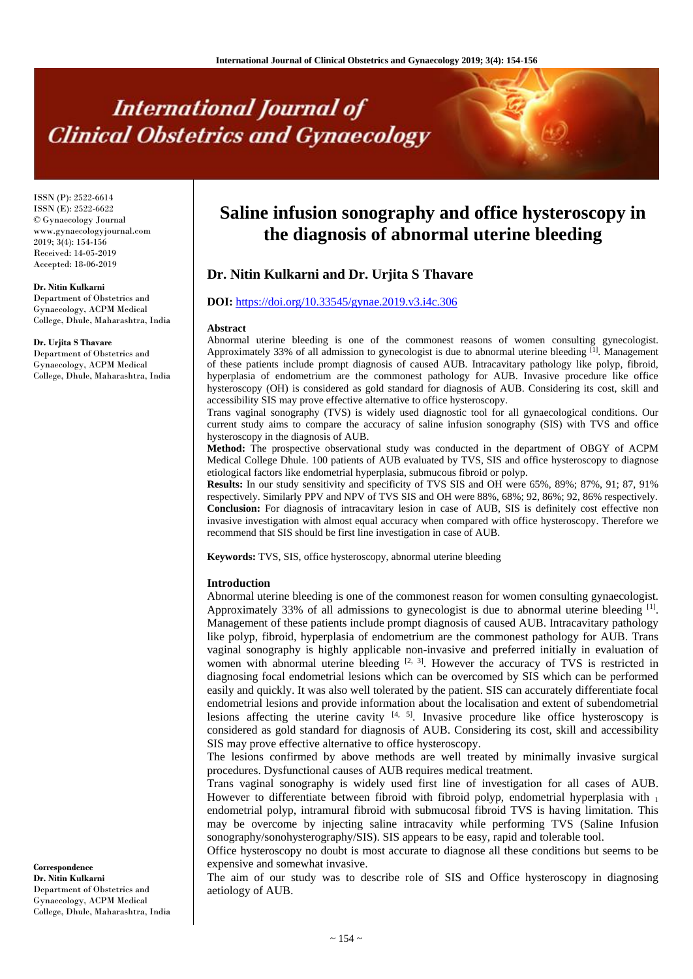# **International Journal of Clinical Obstetrics and Gynaecology**

ISSN (P): 2522-6614 ISSN (E): 2522-6622 © Gynaecology Journal www.gynaecologyjournal.com 2019; 3(4): 154-156 Received: 14-05-2019 Accepted: 18-06-2019

#### **Dr. Nitin Kulkarni**

Department of Obstetrics and Gynaecology, ACPM Medical College, Dhule, Maharashtra, India

**Dr. Urjita S Thavare** Department of Obstetrics and Gynaecology, ACPM Medical College, Dhule, Maharashtra, India **Saline infusion sonography and office hysteroscopy in the diagnosis of abnormal uterine bleeding**

# **Dr. Nitin Kulkarni and Dr. Urjita S Thavare**

# **DOI:** <https://doi.org/10.33545/gynae.2019.v3.i4c.306>

#### **Abstract**

Abnormal uterine bleeding is one of the commonest reasons of women consulting gynecologist. Approximately 33% of all admission to gynecologist is due to abnormal uterine bleeding [1]. Management of these patients include prompt diagnosis of caused AUB. Intracavitary pathology like polyp, fibroid, hyperplasia of endometrium are the commonest pathology for AUB. Invasive procedure like office hysteroscopy (OH) is considered as gold standard for diagnosis of AUB. Considering its cost, skill and accessibility SIS may prove effective alternative to office hysteroscopy.

Trans vaginal sonography (TVS) is widely used diagnostic tool for all gynaecological conditions. Our current study aims to compare the accuracy of saline infusion sonography (SIS) with TVS and office hysteroscopy in the diagnosis of AUB.

**Method:** The prospective observational study was conducted in the department of OBGY of ACPM Medical College Dhule. 100 patients of AUB evaluated by TVS, SIS and office hysteroscopy to diagnose etiological factors like endometrial hyperplasia, submucous fibroid or polyp.

**Results:** In our study sensitivity and specificity of TVS SIS and OH were 65%, 89%; 87%, 91; 87, 91% respectively. Similarly PPV and NPV of TVS SIS and OH were 88%, 68%; 92, 86%; 92, 86% respectively. **Conclusion:** For diagnosis of intracavitary lesion in case of AUB, SIS is definitely cost effective non invasive investigation with almost equal accuracy when compared with office hysteroscopy. Therefore we recommend that SIS should be first line investigation in case of AUB.

**Keywords:** TVS, SIS, office hysteroscopy, abnormal uterine bleeding

#### **Introduction**

Abnormal uterine bleeding is one of the commonest reason for women consulting gynaecologist. Approximately 33% of all admissions to gynecologist is due to abnormal uterine bleeding  $[1]$ . Management of these patients include prompt diagnosis of caused AUB. Intracavitary pathology like polyp, fibroid, hyperplasia of endometrium are the commonest pathology for AUB. Trans vaginal sonography is highly applicable non-invasive and preferred initially in evaluation of women with abnormal uterine bleeding  $[2, 3]$ . However the accuracy of TVS is restricted in diagnosing focal endometrial lesions which can be overcomed by SIS which can be performed easily and quickly. It was also well tolerated by the patient. SIS can accurately differentiate focal endometrial lesions and provide information about the localisation and extent of subendometrial lesions affecting the uterine cavity  $[4, 5]$ . Invasive procedure like office hysteroscopy is considered as gold standard for diagnosis of AUB. Considering its cost, skill and accessibility SIS may prove effective alternative to office hysteroscopy.

The lesions confirmed by above methods are well treated by minimally invasive surgical procedures. Dysfunctional causes of AUB requires medical treatment.

Trans vaginal sonography is widely used first line of investigation for all cases of AUB. However to differentiate between fibroid with fibroid polyp, endometrial hyperplasia with  $_1$ endometrial polyp, intramural fibroid with submucosal fibroid TVS is having limitation. This may be overcome by injecting saline intracavity while performing TVS (Saline Infusion sonography/sonohysterography/SIS). SIS appears to be easy, rapid and tolerable tool.

Office hysteroscopy no doubt is most accurate to diagnose all these conditions but seems to be expensive and somewhat invasive.

The aim of our study was to describe role of SIS and Office hysteroscopy in diagnosing aetiology of AUB.

**Correspondence Dr. Nitin Kulkarni** Department of Obstetrics and Gynaecology, ACPM Medical College, Dhule, Maharashtra, India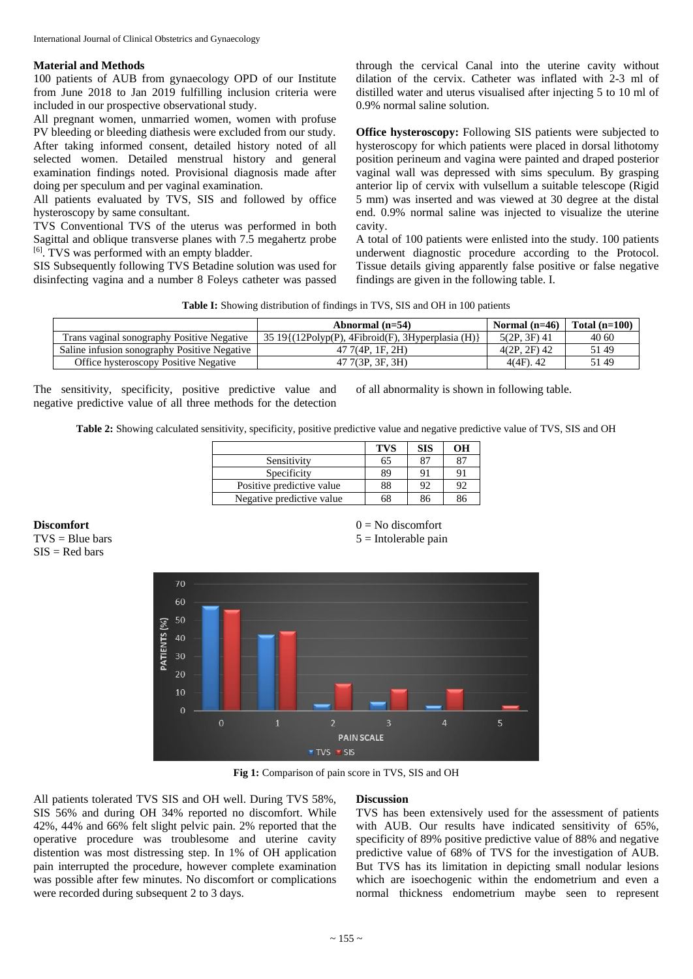# **Material and Methods**

100 patients of AUB from gynaecology OPD of our Institute from June 2018 to Jan 2019 fulfilling inclusion criteria were included in our prospective observational study.

All pregnant women, unmarried women, women with profuse PV bleeding or bleeding diathesis were excluded from our study. After taking informed consent, detailed history noted of all selected women. Detailed menstrual history and general examination findings noted. Provisional diagnosis made after doing per speculum and per vaginal examination.

All patients evaluated by TVS, SIS and followed by office hysteroscopy by same consultant.

TVS Conventional TVS of the uterus was performed in both Sagittal and oblique transverse planes with 7.5 megahertz probe [6] . TVS was performed with an empty bladder.

SIS Subsequently following TVS Betadine solution was used for disinfecting vagina and a number 8 Foleys catheter was passed

through the cervical Canal into the uterine cavity without dilation of the cervix. Catheter was inflated with 2-3 ml of distilled water and uterus visualised after injecting 5 to 10 ml of 0.9% normal saline solution.

**Office hysteroscopy:** Following SIS patients were subjected to hysteroscopy for which patients were placed in dorsal lithotomy position perineum and vagina were painted and draped posterior vaginal wall was depressed with sims speculum. By grasping anterior lip of cervix with vulsellum a suitable telescope (Rigid 5 mm) was inserted and was viewed at 30 degree at the distal end. 0.9% normal saline was injected to visualize the uterine cavity.

A total of 100 patients were enlisted into the study. 100 patients underwent diagnostic procedure according to the Protocol. Tissue details giving apparently false positive or false negative findings are given in the following table. I.

**Table I:** Showing distribution of findings in TVS, SIS and OH in 100 patients

|                                              | Abnormal $(n=54)$                                   | Normal $(n=46)$ | Total $(n=100)$ |
|----------------------------------------------|-----------------------------------------------------|-----------------|-----------------|
| Trans vaginal sonography Positive Negative   | $3519$ {(12Polyp(P), 4Fibroid(F), 3Hyperplasia (H)} | $5(2P, 3F)$ 41  | 40 60           |
| Saline infusion sonography Positive Negative | 47 7(4P, 1F, 2H)                                    | $4(2P, 2F)$ 42  | 5149            |
| Office hysteroscopy Positive Negative        | 47 7(3P, 3F, 3H)                                    | $4(4F)$ , 42    | 5149            |

The sensitivity, specificity, positive predictive value and negative predictive value of all three methods for the detection

of all abnormality is shown in following table.

**Table 2:** Showing calculated sensitivity, specificity, positive predictive value and negative predictive value of TVS, SIS and OH

|                           | <b>TVS</b> | <b>SIS</b> | OН |
|---------------------------|------------|------------|----|
| Sensitivity               | 65         | 87         |    |
| Specificity               | 89         | 91         | 91 |
| Positive predictive value | 88         | 92         | 92 |
| Negative predictive value | 68         | 86         |    |

**Discomfort**   $TVS =$  Blue bars

 $SIS = Red bars$ 

 $0 = No$  discomfort  $5 =$ Intolerable pain



**Fig 1:** Comparison of pain score in TVS, SIS and OH

All patients tolerated TVS SIS and OH well. During TVS 58%, SIS 56% and during OH 34% reported no discomfort. While 42%, 44% and 66% felt slight pelvic pain. 2% reported that the operative procedure was troublesome and uterine cavity distention was most distressing step. In 1% of OH application pain interrupted the procedure, however complete examination was possible after few minutes. No discomfort or complications were recorded during subsequent 2 to 3 days.

#### **Discussion**

TVS has been extensively used for the assessment of patients with AUB. Our results have indicated sensitivity of 65%, specificity of 89% positive predictive value of 88% and negative predictive value of 68% of TVS for the investigation of AUB. But TVS has its limitation in depicting small nodular lesions which are isoechogenic within the endometrium and even a normal thickness endometrium maybe seen to represent